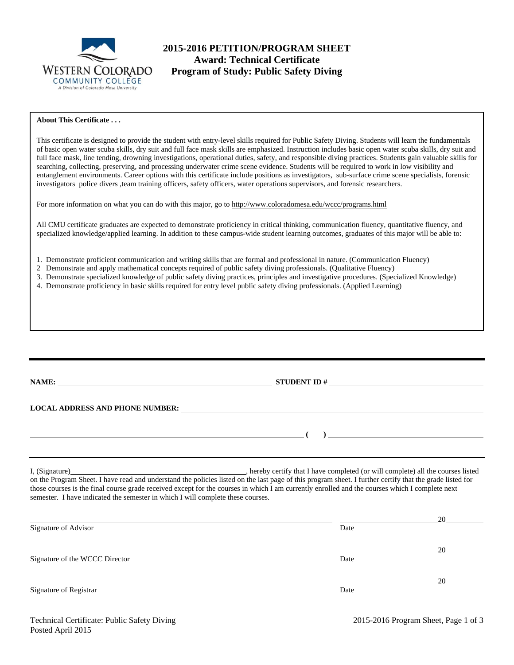

# **2015-2016 PETITION/PROGRAM SHEET Award: Technical Certificate**<br>WESTERN COLORADO Program of Study: Public Safety D **Program of Study: Public Safety Diving**

# **About This Certificate . . .**

This certificate is designed to provide the student with entry-level skills required for Public Safety Diving. Students will learn the fundamentals of basic open water scuba skills, dry suit and full face mask skills are emphasized. Instruction includes basic open water scuba skills, dry suit and full face mask, line tending, drowning investigations, operational duties, safety, and responsible diving practices. Students gain valuable skills for searching, collecting, preserving, and processing underwater crime scene evidence. Students will be required to work in low visibility and entanglement environments. Career options with this certificate include positions as investigators, sub-surface crime scene specialists, forensic investigators police divers ,team training officers, safety officers, water operations supervisors, and forensic researchers.

For more information on what you can do with this major, go to http://www.coloradomesa.edu/wccc/programs.html

All CMU certificate graduates are expected to demonstrate proficiency in critical thinking, communication fluency, quantitative fluency, and specialized knowledge/applied learning. In addition to these campus-wide student learning outcomes, graduates of this major will be able to:

- 1. Demonstrate proficient communication and writing skills that are formal and professional in nature. (Communication Fluency)
- 2 Demonstrate and apply mathematical concepts required of public safety diving professionals. (Qualitative Fluency)
- 3. Demonstrate specialized knowledge of public safety diving practices, principles and investigative procedures. (Specialized Knowledge)
- 4. Demonstrate proficiency in basic skills required for entry level public safety diving professionals. (Applied Learning)

| NAME:                                                                                                                                                                                                                                                                                                                                                                                                               | STUDENT ID $\#$                                                                                                                                                                                                                                                                                                                                                                                             |  |
|---------------------------------------------------------------------------------------------------------------------------------------------------------------------------------------------------------------------------------------------------------------------------------------------------------------------------------------------------------------------------------------------------------------------|-------------------------------------------------------------------------------------------------------------------------------------------------------------------------------------------------------------------------------------------------------------------------------------------------------------------------------------------------------------------------------------------------------------|--|
|                                                                                                                                                                                                                                                                                                                                                                                                                     |                                                                                                                                                                                                                                                                                                                                                                                                             |  |
| $\overline{\phantom{a}}$ and $\overline{\phantom{a}}$ and $\overline{\phantom{a}}$ and $\overline{\phantom{a}}$ and $\overline{\phantom{a}}$ and $\overline{\phantom{a}}$ and $\overline{\phantom{a}}$ and $\overline{\phantom{a}}$ and $\overline{\phantom{a}}$ and $\overline{\phantom{a}}$ and $\overline{\phantom{a}}$ and $\overline{\phantom{a}}$ and $\overline{\phantom{a}}$ and $\overline{\phantom{a}}$ a |                                                                                                                                                                                                                                                                                                                                                                                                             |  |
|                                                                                                                                                                                                                                                                                                                                                                                                                     |                                                                                                                                                                                                                                                                                                                                                                                                             |  |
|                                                                                                                                                                                                                                                                                                                                                                                                                     | I, (Signature) hereby certify that I have completed (or will complete) all the courses listed<br>on the Program Sheet. I have read and understand the policies listed on the last page of this program sheet. I further certify that the grade listed for<br>those courses is the final course grade received except for the courses in which I am currently enrolled and the courses which I complete next |  |

<u>20</u> Signature of Advisor Date <u>20</u> Signature of the WCCC Director Date of the WCCC Director Date <u>20</u> Signature of Registrar Date

semester. I have indicated the semester in which I will complete these courses.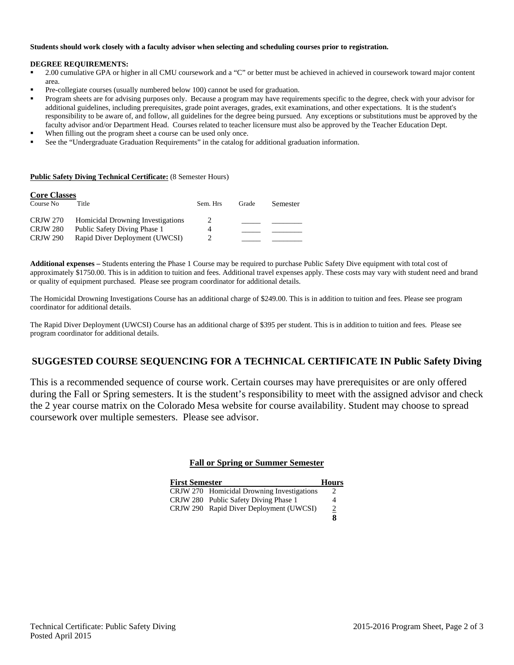## **Students should work closely with a faculty advisor when selecting and scheduling courses prior to registration.**

#### **DEGREE REQUIREMENTS:**

- 2.00 cumulative GPA or higher in all CMU coursework and a "C" or better must be achieved in achieved in coursework toward major content area.
- Pre-collegiate courses (usually numbered below 100) cannot be used for graduation.
- Program sheets are for advising purposes only. Because a program may have requirements specific to the degree, check with your advisor for additional guidelines, including prerequisites, grade point averages, grades, exit examinations, and other expectations. It is the student's responsibility to be aware of, and follow, all guidelines for the degree being pursued. Any exceptions or substitutions must be approved by the faculty advisor and/or Department Head. Courses related to teacher licensure must also be approved by the Teacher Education Dept.
- When filling out the program sheet a course can be used only once.
- See the "Undergraduate Graduation Requirements" in the catalog for additional graduation information.

#### **Public Safety Diving Technical Certificate:** (8 Semester Hours)

| <b>Core Classes</b> |                                          |          |       |          |
|---------------------|------------------------------------------|----------|-------|----------|
| Course No           | Title                                    | Sem. Hrs | Grade | Semester |
| <b>CRJW 270</b>     | <b>Homicidal Drowning Investigations</b> | 2        |       |          |
| <b>CRJW 280</b>     | Public Safety Diving Phase 1             | 4        |       |          |
| <b>CRJW 290</b>     | Rapid Diver Deployment (UWCSI)           |          |       |          |

**Additional expenses –** Students entering the Phase 1 Course may be required to purchase Public Safety Dive equipment with total cost of approximately \$1750.00. This is in addition to tuition and fees. Additional travel expenses apply. These costs may vary with student need and brand or quality of equipment purchased. Please see program coordinator for additional details.

The Homicidal Drowning Investigations Course has an additional charge of \$249.00. This is in addition to tuition and fees. Please see program coordinator for additional details.

The Rapid Diver Deployment (UWCSI) Course has an additional charge of \$395 per student. This is in addition to tuition and fees. Please see program coordinator for additional details.

# **SUGGESTED COURSE SEQUENCING FOR A TECHNICAL CERTIFICATE IN Public Safety Diving**

This is a recommended sequence of course work. Certain courses may have prerequisites or are only offered during the Fall or Spring semesters. It is the student's responsibility to meet with the assigned advisor and check the 2 year course matrix on the Colorado Mesa website for course availability. Student may choose to spread coursework over multiple semesters. Please see advisor.

## **Fall or Spring or Summer Semester**

| <b>First Semester</b>                      | <b>Hours</b>   |
|--------------------------------------------|----------------|
| CRJW 270 Homicidal Drowning Investigations | 2              |
| CRJW 280 Public Safety Diving Phase 1      | 4              |
| CRJW 290 Rapid Diver Deployment (UWCSI)    | $\overline{2}$ |
|                                            |                |